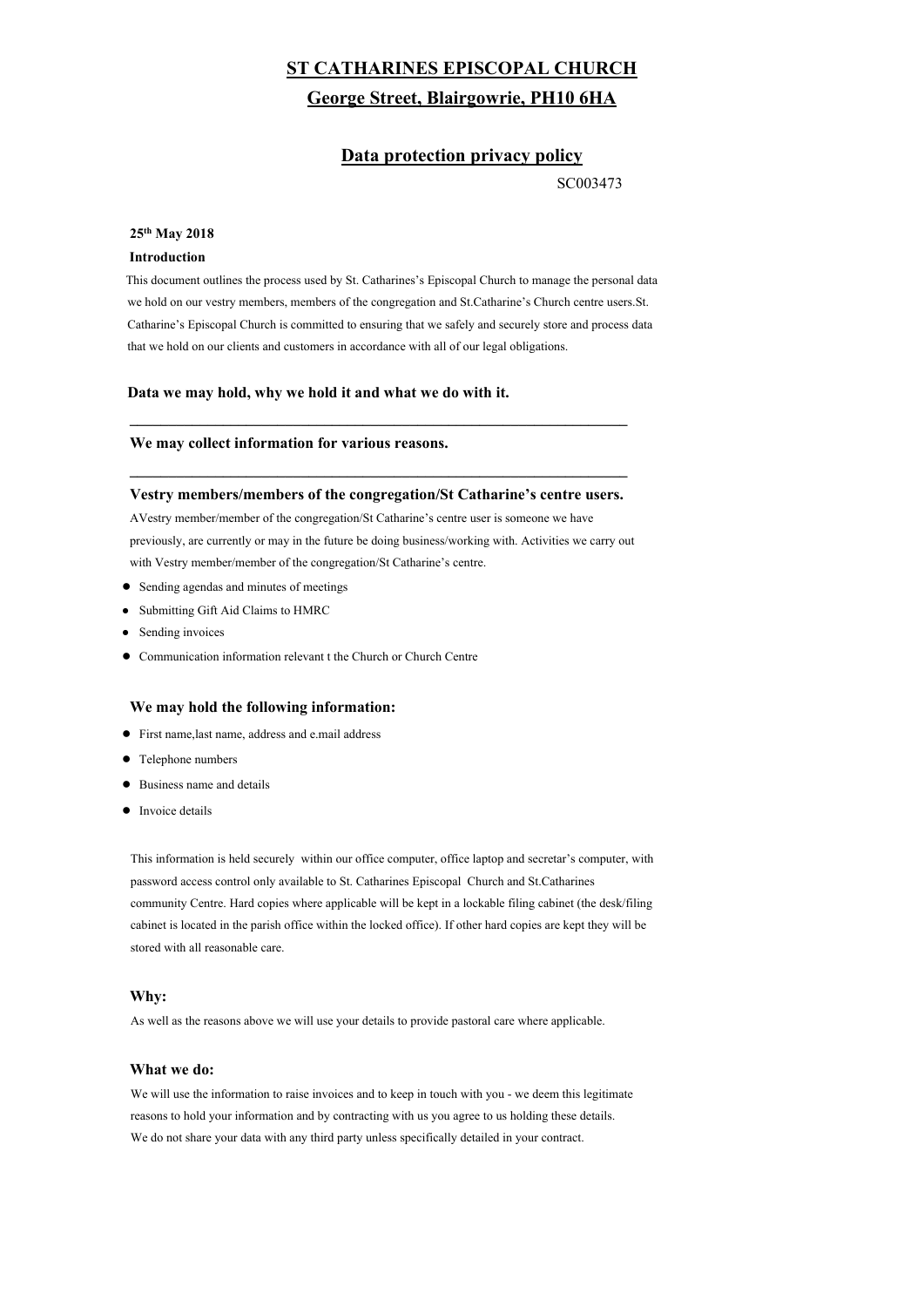# **ST CATHARINES EPISCOPAL CHURCH George Street, Blairgowrie, PH10 6HA**

# **Data protection privacy policy**

SC003473

#### **25th May 2018**

### **Introduction**

This document outlines the process used by St. Catharines's Episcopal Church to manage the personal data we hold on our vestry members, members of the congregation and St.Catharine's Church centre users.St. Catharine's Episcopal Church is committed to ensuring that we safely and securely store and process data that we hold on our clients and customers in accordance with all of our legal obligations.

#### **Data we may hold, why we hold it and what we do with it.**

 $\mathcal{L}_\text{max} = \frac{1}{2} \sum_{i=1}^{n} \frac{1}{2} \sum_{i=1}^{n} \frac{1}{2} \sum_{i=1}^{n} \frac{1}{2} \sum_{i=1}^{n} \frac{1}{2} \sum_{i=1}^{n} \frac{1}{2} \sum_{i=1}^{n} \frac{1}{2} \sum_{i=1}^{n} \frac{1}{2} \sum_{i=1}^{n} \frac{1}{2} \sum_{i=1}^{n} \frac{1}{2} \sum_{i=1}^{n} \frac{1}{2} \sum_{i=1}^{n} \frac{1}{2} \sum_{i=1}^{n} \frac{1$ 

 $\mathcal{L}_\text{max} = \frac{1}{2} \sum_{i=1}^{n} \frac{1}{2} \sum_{i=1}^{n} \frac{1}{2} \sum_{i=1}^{n} \frac{1}{2} \sum_{i=1}^{n} \frac{1}{2} \sum_{i=1}^{n} \frac{1}{2} \sum_{i=1}^{n} \frac{1}{2} \sum_{i=1}^{n} \frac{1}{2} \sum_{i=1}^{n} \frac{1}{2} \sum_{i=1}^{n} \frac{1}{2} \sum_{i=1}^{n} \frac{1}{2} \sum_{i=1}^{n} \frac{1}{2} \sum_{i=1}^{n} \frac{1$ 

### **We may collect information for various reasons.**

#### **Vestry members/members of the congregation/St Catharine's centre users.**

AVestry member/member of the congregation/St Catharine's centre user is someone we have previously, are currently or may in the future be doing business/working with. Activities we carry out with Vestry member/member of the congregation/St Catharine's centre.

- Sending agendas and minutes of meetings
- Submitting Gift Aid Claims to HMRC
- Sending invoices
- Communication information relevant t the Church or Church Centre

# **We may hold the following information:**

- First name,last name, address and e.mail address
- Telephone numbers
- Business name and details
- Invoice details

 This information is held securely within our office computer, office laptop and secretar's computer, with password access control only available to St. Catharines Episcopal Church and St.Catharines community Centre. Hard copies where applicable will be kept in a lockable filing cabinet (the desk/filing cabinet is located in the parish office within the locked office). If other hard copies are kept they will be stored with all reasonable care.

# **Why:**

As well as the reasons above we will use your details to provide pastoral care where applicable.

#### **What we do:**

 We will use the information to raise invoices and to keep in touch with you - we deem this legitimate reasons to hold your information and by contracting with us you agree to us holding these details. We do not share your data with any third party unless specifically detailed in your contract.